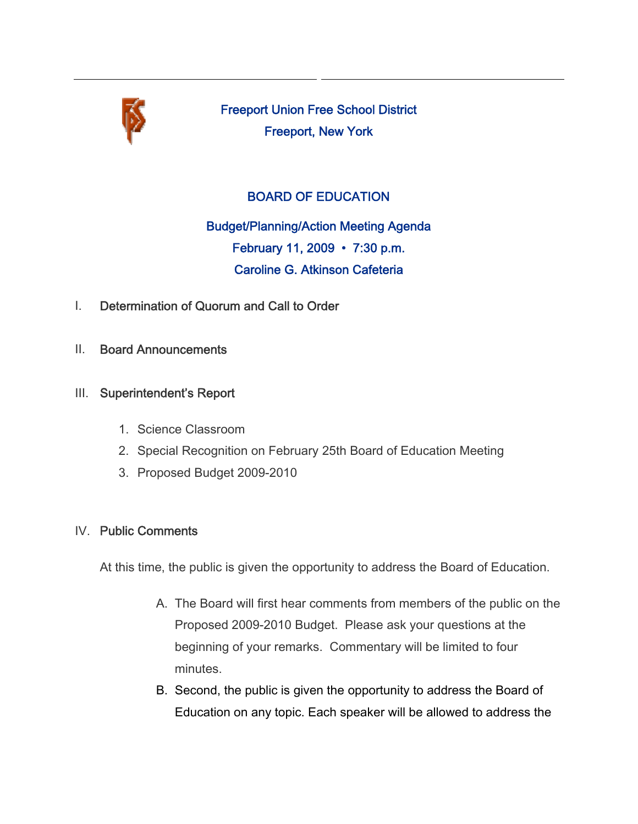

Freeport Union Free School District Freeport, New York

# BOARD OF EDUCATION

Budget/Planning/Action Meeting Agenda February 11, 2009 • 7:30 p.m. Caroline G. Atkinson Cafeteria

- I. Determination of Quorum and Call to Order
- II. Board Announcements
- III. Superintendent's Report
	- 1. Science Classroom
	- 2. Special Recognition on February 25th Board of Education Meeting
	- 3. Proposed Budget 2009-2010

## IV. Public Comments

At this time, the public is given the opportunity to address the Board of Education.

- A. The Board will first hear comments from members of the public on the Proposed 2009-2010 Budget. Please ask your questions at the beginning of your remarks. Commentary will be limited to four minutes.
- B. Second, the public is given the opportunity to address the Board of Education on any topic. Each speaker will be allowed to address the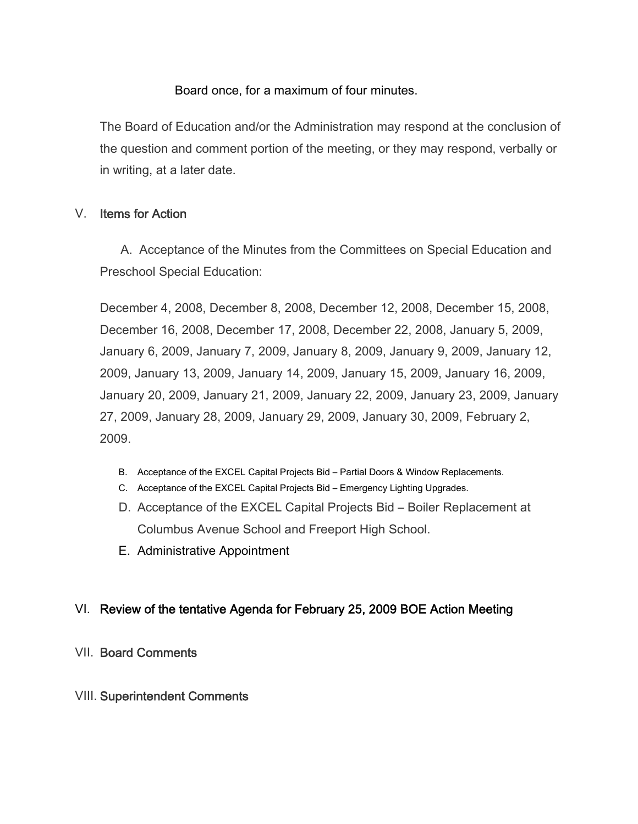#### Board once, for a maximum of four minutes.

The Board of Education and/or the Administration may respond at the conclusion of the question and comment portion of the meeting, or they may respond, verbally or in writing, at a later date.

## V. Items for Action

 A. Acceptance of the Minutes from the Committees on Special Education and Preschool Special Education:

December 4, 2008, December 8, 2008, December 12, 2008, December 15, 2008, December 16, 2008, December 17, 2008, December 22, 2008, January 5, 2009, January 6, 2009, January 7, 2009, January 8, 2009, January 9, 2009, January 12, 2009, January 13, 2009, January 14, 2009, January 15, 2009, January 16, 2009, January 20, 2009, January 21, 2009, January 22, 2009, January 23, 2009, January 27, 2009, January 28, 2009, January 29, 2009, January 30, 2009, February 2, 2009.

- B. Acceptance of the EXCEL Capital Projects Bid Partial Doors & Window Replacements.
- C. Acceptance of the EXCEL Capital Projects Bid Emergency Lighting Upgrades.
- D. Acceptance of the EXCEL Capital Projects Bid Boiler Replacement at Columbus Avenue School and Freeport High School.
- E. Administrative Appointment

## VI. Review of the tentative Agenda for February 25, 2009 BOE Action Meeting

VII. Board Comments

#### VIII. Superintendent Comments